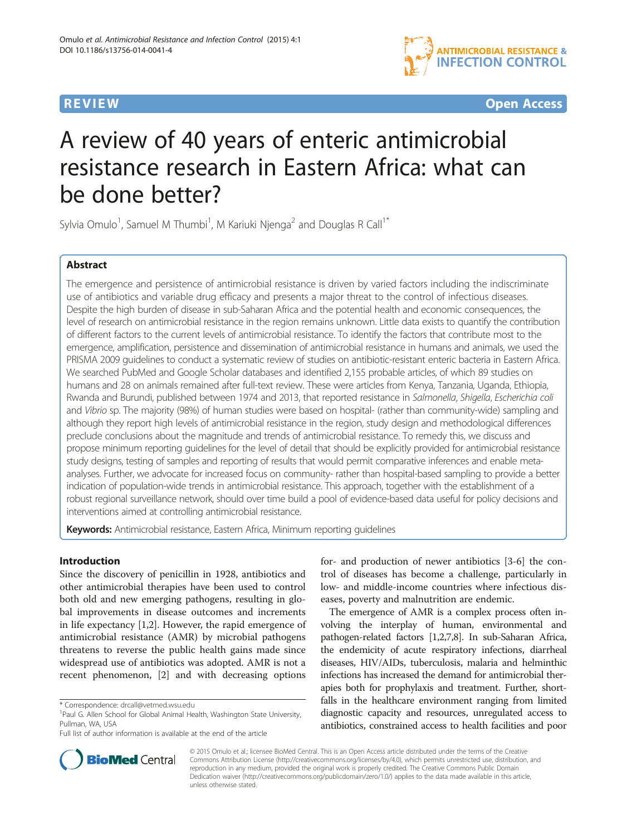

**REVIEW CONTROL** CONTROL CONTROL CONTROL CONTROL CONTROL CONTROL CONTROL CONTROL CONTROL CONTROL CONTROL CONTROL CONTROL CONTROL CONTROL CONTROL CONTROL CONTROL CONTROL CONTROL CONTROL CONTROL CONTROL CONTROL CONTROL CONTR

# A review of 40 years of enteric antimicrobial resistance research in Eastern Africa: what can be done better?

Sylvia Omulo<sup>1</sup>, Samuel M Thumbi<sup>1</sup>, M Kariuki Njenga<sup>2</sup> and Douglas R Call<sup>1\*</sup>

# Abstract

The emergence and persistence of antimicrobial resistance is driven by varied factors including the indiscriminate use of antibiotics and variable drug efficacy and presents a major threat to the control of infectious diseases. Despite the high burden of disease in sub-Saharan Africa and the potential health and economic consequences, the level of research on antimicrobial resistance in the region remains unknown. Little data exists to quantify the contribution of different factors to the current levels of antimicrobial resistance. To identify the factors that contribute most to the emergence, amplification, persistence and dissemination of antimicrobial resistance in humans and animals, we used the PRISMA 2009 guidelines to conduct a systematic review of studies on antibiotic-resistant enteric bacteria in Eastern Africa. We searched PubMed and Google Scholar databases and identified 2,155 probable articles, of which 89 studies on humans and 28 on animals remained after full-text review. These were articles from Kenya, Tanzania, Uganda, Ethiopia, Rwanda and Burundi, published between 1974 and 2013, that reported resistance in Salmonella, Shigella, Escherichia coli and Vibrio sp. The majority (98%) of human studies were based on hospital- (rather than community-wide) sampling and although they report high levels of antimicrobial resistance in the region, study design and methodological differences preclude conclusions about the magnitude and trends of antimicrobial resistance. To remedy this, we discuss and propose minimum reporting guidelines for the level of detail that should be explicitly provided for antimicrobial resistance study designs, testing of samples and reporting of results that would permit comparative inferences and enable metaanalyses. Further, we advocate for increased focus on community- rather than hospital-based sampling to provide a better indication of population-wide trends in antimicrobial resistance. This approach, together with the establishment of a robust regional surveillance network, should over time build a pool of evidence-based data useful for policy decisions and interventions aimed at controlling antimicrobial resistance.

Keywords: Antimicrobial resistance, Eastern Africa, Minimum reporting quidelines

# Introduction

Since the discovery of penicillin in 1928, antibiotics and other antimicrobial therapies have been used to control both old and new emerging pathogens, resulting in global improvements in disease outcomes and increments in life expectancy [\[1,2](#page-9-0)]. However, the rapid emergence of antimicrobial resistance (AMR) by microbial pathogens threatens to reverse the public health gains made since widespread use of antibiotics was adopted. AMR is not a recent phenomenon, [\[2\]](#page-9-0) and with decreasing options

for- and production of newer antibiotics [\[3](#page-9-0)-[6\]](#page-9-0) the control of diseases has become a challenge, particularly in low- and middle-income countries where infectious diseases, poverty and malnutrition are endemic.

The emergence of AMR is a complex process often involving the interplay of human, environmental and pathogen-related factors [[1,2,7,8\]](#page-9-0). In sub-Saharan Africa, the endemicity of acute respiratory infections, diarrheal diseases, HIV/AIDs, tuberculosis, malaria and helminthic infections has increased the demand for antimicrobial therapies both for prophylaxis and treatment. Further, shortfalls in the healthcare environment ranging from limited diagnostic capacity and resources, unregulated access to antibiotics, constrained access to health facilities and poor



© 2015 Omulo et al.; licensee BioMed Central. This is an Open Access article distributed under the terms of the Creative Commons Attribution License [\(http://creativecommons.org/licenses/by/4.0\)](http://creativecommons.org/licenses/by/4.0), which permits unrestricted use, distribution, and reproduction in any medium, provided the original work is properly credited. The Creative Commons Public Domain Dedication waiver [\(http://creativecommons.org/publicdomain/zero/1.0/](http://creativecommons.org/publicdomain/zero/1.0/)) applies to the data made available in this article, unless otherwise stated.

<sup>\*</sup> Correspondence: [drcall@vetmed.wsu.edu](mailto:drcall@vetmed.wsu.edu) <sup>1</sup>

<sup>&</sup>lt;sup>1</sup>Paul G. Allen School for Global Animal Health, Washington State University, Pullman, WA, USA

Full list of author information is available at the end of the article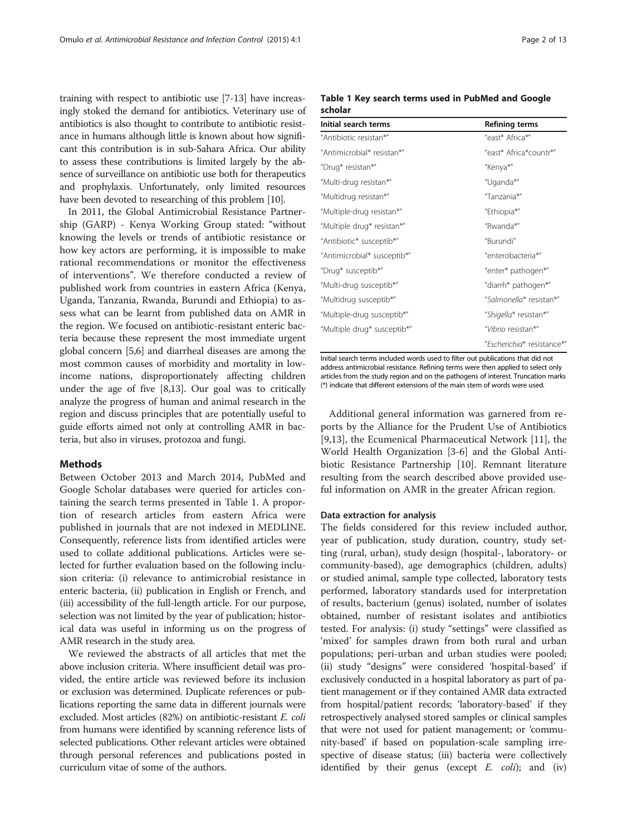<span id="page-1-0"></span>training with respect to antibiotic use [[7-](#page-9-0)[13\]](#page-10-0) have increasingly stoked the demand for antibiotics. Veterinary use of antibiotics is also thought to contribute to antibiotic resistance in humans although little is known about how significant this contribution is in sub-Sahara Africa. Our ability to assess these contributions is limited largely by the absence of surveillance on antibiotic use both for therapeutics and prophylaxis. Unfortunately, only limited resources have been devoted to researching of this problem [[10](#page-9-0)].

In 2011, the Global Antimicrobial Resistance Partnership (GARP) - Kenya Working Group stated: "without knowing the levels or trends of antibiotic resistance or how key actors are performing, it is impossible to make rational recommendations or monitor the effectiveness of interventions". We therefore conducted a review of published work from countries in eastern Africa (Kenya, Uganda, Tanzania, Rwanda, Burundi and Ethiopia) to assess what can be learnt from published data on AMR in the region. We focused on antibiotic-resistant enteric bacteria because these represent the most immediate urgent global concern [\[5,6](#page-9-0)] and diarrheal diseases are among the most common causes of morbidity and mortality in lowincome nations, disproportionately affecting children under the age of five [\[8](#page-9-0)[,13\]](#page-10-0). Our goal was to critically analyze the progress of human and animal research in the region and discuss principles that are potentially useful to guide efforts aimed not only at controlling AMR in bacteria, but also in viruses, protozoa and fungi.

#### **Methods**

Between October 2013 and March 2014, PubMed and Google Scholar databases were queried for articles containing the search terms presented in Table 1. A proportion of research articles from eastern Africa were published in journals that are not indexed in MEDLINE. Consequently, reference lists from identified articles were used to collate additional publications. Articles were selected for further evaluation based on the following inclusion criteria: (i) relevance to antimicrobial resistance in enteric bacteria, (ii) publication in English or French, and (iii) accessibility of the full-length article. For our purpose, selection was not limited by the year of publication; historical data was useful in informing us on the progress of AMR research in the study area.

We reviewed the abstracts of all articles that met the above inclusion criteria. Where insufficient detail was provided, the entire article was reviewed before its inclusion or exclusion was determined. Duplicate references or publications reporting the same data in different journals were excluded. Most articles (82%) on antibiotic-resistant E. coli from humans were identified by scanning reference lists of selected publications. Other relevant articles were obtained through personal references and publications posted in curriculum vitae of some of the authors.

| Refining terms<br>"east* Africa*"<br>"east* Africa*countr*"<br>"Kenya*"<br>"Uganda*" |
|--------------------------------------------------------------------------------------|
|                                                                                      |
|                                                                                      |
|                                                                                      |
|                                                                                      |
|                                                                                      |
| "Tanzania*"                                                                          |
| "Ethiopia*"                                                                          |
| "Rwanda*"                                                                            |
| "Burundi"                                                                            |
| "enterobacteria*"                                                                    |
| "enter* pathogen*"                                                                   |
| "diarrh* pathogen*"                                                                  |
| "Salmonella* resistan*"                                                              |
| "Shigella* resistan*"                                                                |
| "Vibrio resistan*"                                                                   |
| "Escherichia* resistance*'                                                           |
|                                                                                      |

Initial search terms included words used to filter out publications that did not address antimicrobial resistance. Refining terms were then applied to select only articles from the study region and on the pathogens of interest. Truncation marks (\*) indicate that different extensions of the main stem of words were used.

Additional general information was garnered from reports by the Alliance for the Prudent Use of Antibiotics [[9,](#page-9-0)[13\]](#page-10-0), the Ecumenical Pharmaceutical Network [\[11](#page-9-0)], the World Health Organization [\[3](#page-9-0)-[6\]](#page-9-0) and the Global Antibiotic Resistance Partnership [[10](#page-9-0)]. Remnant literature resulting from the search described above provided useful information on AMR in the greater African region.

#### Data extraction for analysis

The fields considered for this review included author, year of publication, study duration, country, study setting (rural, urban), study design (hospital-, laboratory- or community-based), age demographics (children, adults) or studied animal, sample type collected, laboratory tests performed, laboratory standards used for interpretation of results, bacterium (genus) isolated, number of isolates obtained, number of resistant isolates and antibiotics tested. For analysis: (i) study "settings" were classified as 'mixed' for samples drawn from both rural and urban populations; peri-urban and urban studies were pooled; (ii) study "designs" were considered 'hospital-based' if exclusively conducted in a hospital laboratory as part of patient management or if they contained AMR data extracted from hospital/patient records; 'laboratory-based' if they retrospectively analysed stored samples or clinical samples that were not used for patient management; or 'community-based' if based on population-scale sampling irrespective of disease status; (iii) bacteria were collectively identified by their genus (except *E. coli*); and (iv)

Table 1 Key search terms used in PubMed and Google scholar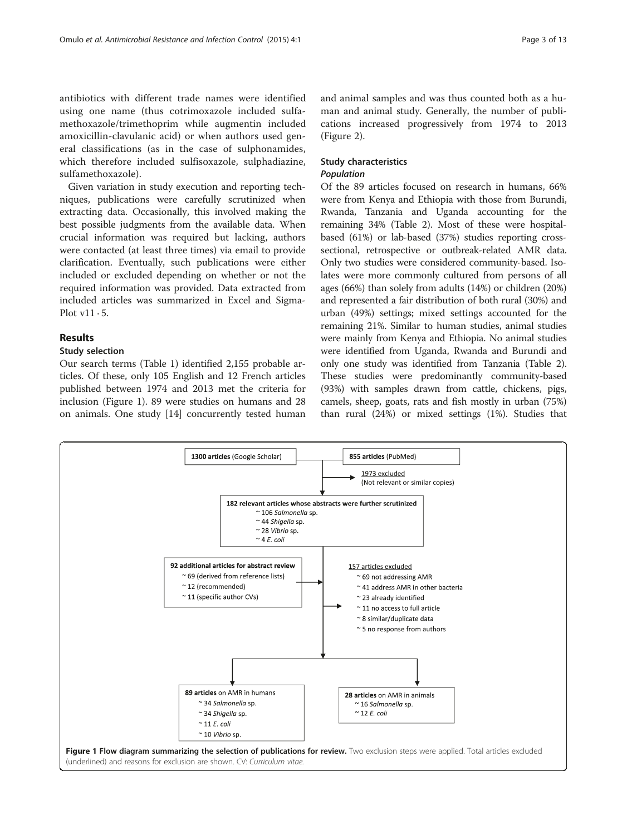antibiotics with different trade names were identified using one name (thus cotrimoxazole included sulfamethoxazole/trimethoprim while augmentin included amoxicillin-clavulanic acid) or when authors used general classifications (as in the case of sulphonamides, which therefore included sulfisoxazole, sulphadiazine, sulfamethoxazole).

Given variation in study execution and reporting techniques, publications were carefully scrutinized when extracting data. Occasionally, this involved making the best possible judgments from the available data. When crucial information was required but lacking, authors were contacted (at least three times) via email to provide clarification. Eventually, such publications were either included or excluded depending on whether or not the required information was provided. Data extracted from included articles was summarized in Excel and Sigma-Plot  $v11 \cdot 5$ .

# Results

# Study selection

Our search terms (Table [1\)](#page-1-0) identified 2,155 probable articles. Of these, only 105 English and 12 French articles published between 1974 and 2013 met the criteria for inclusion (Figure 1). 89 were studies on humans and 28 on animals. One study [\[14\]](#page-10-0) concurrently tested human and animal samples and was thus counted both as a human and animal study. Generally, the number of publications increased progressively from 1974 to 2013 (Figure [2\)](#page-3-0).

# Study characteristics

# Population

Of the 89 articles focused on research in humans, 66% were from Kenya and Ethiopia with those from Burundi, Rwanda, Tanzania and Uganda accounting for the remaining 34% (Table [2\)](#page-3-0). Most of these were hospitalbased (61%) or lab-based (37%) studies reporting crosssectional, retrospective or outbreak-related AMR data. Only two studies were considered community-based. Isolates were more commonly cultured from persons of all ages (66%) than solely from adults (14%) or children (20%) and represented a fair distribution of both rural (30%) and urban (49%) settings; mixed settings accounted for the remaining 21%. Similar to human studies, animal studies were mainly from Kenya and Ethiopia. No animal studies were identified from Uganda, Rwanda and Burundi and only one study was identified from Tanzania (Table [2](#page-3-0)). These studies were predominantly community-based (93%) with samples drawn from cattle, chickens, pigs, camels, sheep, goats, rats and fish mostly in urban (75%) than rural (24%) or mixed settings (1%). Studies that

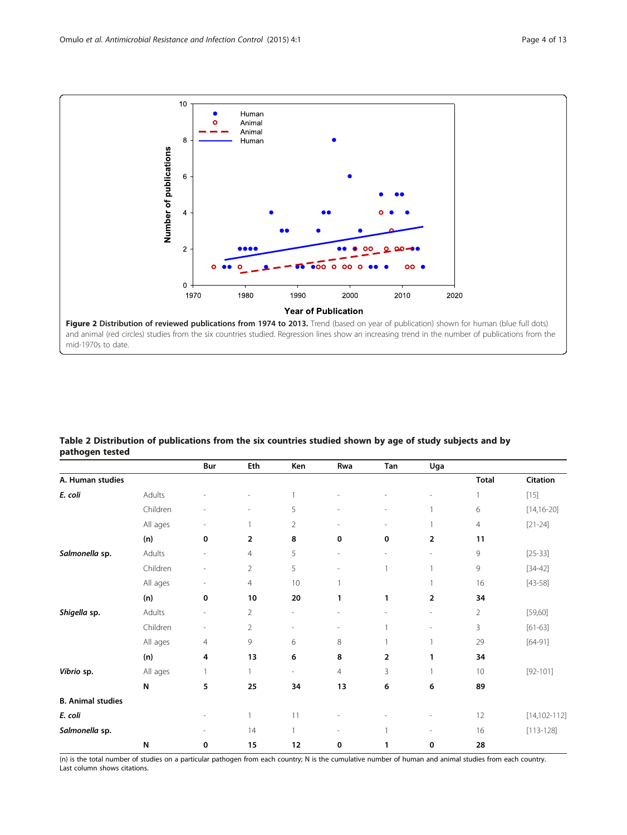<span id="page-3-0"></span>

# Table 2 Distribution of publications from the six countries studied shown by age of study subjects and by pathogen tested

|                          |          | Bur                      | Eth                     | Ken            | Rwa                      | Tan                      | Uga                      |                |                   |
|--------------------------|----------|--------------------------|-------------------------|----------------|--------------------------|--------------------------|--------------------------|----------------|-------------------|
| A. Human studies         |          |                          |                         |                |                          |                          |                          | <b>Total</b>   | Citation          |
| E. coli                  | Adults   |                          | ٠                       | $\mathbf{1}$   |                          |                          |                          | $\mathbf{1}$   | $[15]$            |
|                          | Children | $\overline{\phantom{a}}$ | ٠                       | 5              | $\overline{a}$           |                          |                          | 6              | $[14, 16 - 20]$   |
|                          | All ages | $\overline{\phantom{a}}$ |                         | $\overline{2}$ | $\overline{\phantom{a}}$ | $\overline{\phantom{a}}$ |                          | $\overline{4}$ | $[21 - 24]$       |
|                          | (n)      | $\bf{0}$                 | $\overline{\mathbf{2}}$ | 8              | 0                        | 0                        | $\overline{2}$           | 11             |                   |
| Salmonella sp.           | Adults   | $\overline{\phantom{m}}$ | 4                       | 5              | $\overline{\phantom{a}}$ | $\overline{\phantom{a}}$ | ٠                        | 9              | $[25 - 33]$       |
|                          | Children | $\overline{a}$           | 2                       | 5              | $\overline{a}$           | $\mathbf{1}$             | 1                        | 9              | $[34 - 42]$       |
|                          | All ages | $\overline{\phantom{m}}$ | 4                       | 10             | 1                        |                          |                          | 16             | $[43 - 58]$       |
|                          | (n)      | $\bf{0}$                 | 10                      | 20             | 1                        | 1                        | $\overline{2}$           | 34             |                   |
| Shigella sp.             | Adults   | $\overline{\phantom{m}}$ | $\overline{2}$          | $\overline{a}$ | $\overline{a}$           |                          | $\overline{a}$           | $\overline{2}$ | [59, 60]          |
|                          | Children | $\overline{a}$           | 2                       | ÷              | $\overline{a}$           | $\mathbf{1}$             | ÷,                       | 3              | $[61 - 63]$       |
|                          | All ages | $\overline{4}$           | 9                       | 6              | 8                        | $\mathbf{1}$             |                          | 29             | $[64-91]$         |
|                          | (n)      | 4                        | 13                      | 6              | 8                        | $\overline{\mathbf{2}}$  | 1                        | 34             |                   |
| Vibrio sp.               | All ages | 1                        | $\mathbf{1}$            | $\overline{a}$ | $\overline{4}$           | 3                        | 1                        | 10             | $[92 - 101]$      |
|                          | N        | 5                        | 25                      | 34             | 13                       | 6                        | 6                        | 89             |                   |
| <b>B.</b> Animal studies |          |                          |                         |                |                          |                          |                          |                |                   |
| E. coli                  |          |                          | 1                       | 11             |                          |                          |                          | 12             | $[14, 102 - 112]$ |
| Salmonella sp.           |          | $\overline{\phantom{0}}$ | 14                      | $\mathbf{1}$   | $\overline{\phantom{a}}$ | $\mathbf{1}$             | $\overline{\phantom{a}}$ | 16             | $[113 - 128]$     |
|                          | N        | 0                        | 15                      | 12             | $\mathbf 0$              | 1                        | 0                        | 28             |                   |

(n) is the total number of studies on a particular pathogen from each country; N is the cumulative number of human and animal studies from each country. Last column shows citations.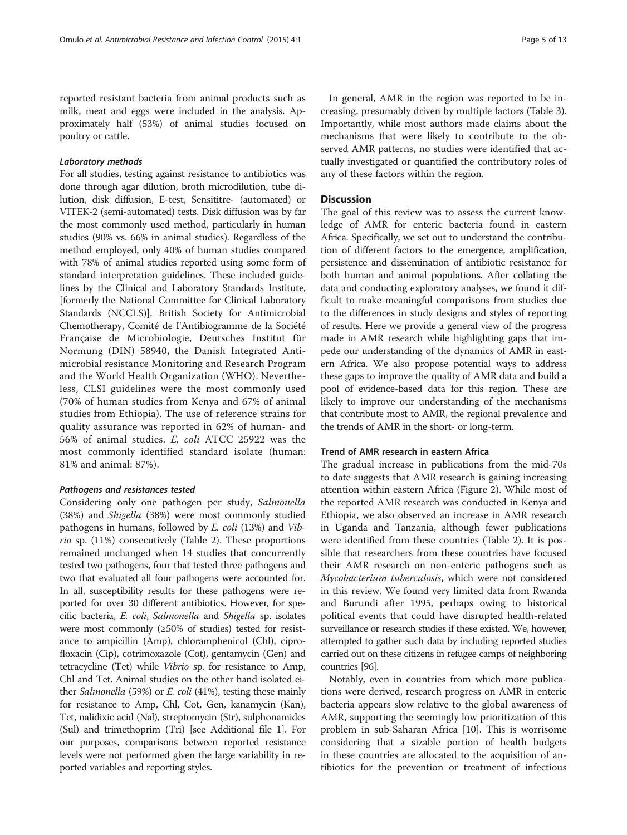reported resistant bacteria from animal products such as milk, meat and eggs were included in the analysis. Approximately half (53%) of animal studies focused on poultry or cattle.

#### Laboratory methods

For all studies, testing against resistance to antibiotics was done through agar dilution, broth microdilution, tube dilution, disk diffusion, E-test, Sensititre- (automated) or VITEK-2 (semi-automated) tests. Disk diffusion was by far the most commonly used method, particularly in human studies (90% vs. 66% in animal studies). Regardless of the method employed, only 40% of human studies compared with 78% of animal studies reported using some form of standard interpretation guidelines. These included guidelines by the Clinical and Laboratory Standards Institute, [formerly the National Committee for Clinical Laboratory Standards (NCCLS)], British Society for Antimicrobial Chemotherapy, Comité de I'Antibiogramme de la Société Française de Microbiologie, Deutsches Institut für Normung (DIN) 58940, the Danish Integrated Antimicrobial resistance Monitoring and Research Program and the World Health Organization (WHO). Nevertheless, CLSI guidelines were the most commonly used (70% of human studies from Kenya and 67% of animal studies from Ethiopia). The use of reference strains for quality assurance was reported in 62% of human- and 56% of animal studies. E. coli ATCC 25922 was the most commonly identified standard isolate (human: 81% and animal: 87%).

# Pathogens and resistances tested

Considering only one pathogen per study, Salmonella (38%) and Shigella (38%) were most commonly studied pathogens in humans, followed by E. coli (13%) and Vibrio sp. (11%) consecutively (Table [2](#page-3-0)). These proportions remained unchanged when 14 studies that concurrently tested two pathogens, four that tested three pathogens and two that evaluated all four pathogens were accounted for. In all, susceptibility results for these pathogens were reported for over 30 different antibiotics. However, for specific bacteria, E. coli, Salmonella and Shigella sp. isolates were most commonly (≥50% of studies) tested for resistance to ampicillin (Amp), chloramphenicol (Chl), ciprofloxacin (Cip), cotrimoxazole (Cot), gentamycin (Gen) and tetracycline (Tet) while Vibrio sp. for resistance to Amp, Chl and Tet. Animal studies on the other hand isolated either Salmonella (59%) or E. coli (41%), testing these mainly for resistance to Amp, Chl, Cot, Gen, kanamycin (Kan), Tet, nalidixic acid (Nal), streptomycin (Str), sulphonamides (Sul) and trimethoprim (Tri) [see Additional file [1](#page-9-0)]. For our purposes, comparisons between reported resistance levels were not performed given the large variability in reported variables and reporting styles.

In general, AMR in the region was reported to be increasing, presumably driven by multiple factors (Table [3](#page-5-0)). Importantly, while most authors made claims about the mechanisms that were likely to contribute to the observed AMR patterns, no studies were identified that actually investigated or quantified the contributory roles of any of these factors within the region.

# **Discussion**

The goal of this review was to assess the current knowledge of AMR for enteric bacteria found in eastern Africa. Specifically, we set out to understand the contribution of different factors to the emergence, amplification, persistence and dissemination of antibiotic resistance for both human and animal populations. After collating the data and conducting exploratory analyses, we found it difficult to make meaningful comparisons from studies due to the differences in study designs and styles of reporting of results. Here we provide a general view of the progress made in AMR research while highlighting gaps that impede our understanding of the dynamics of AMR in eastern Africa. We also propose potential ways to address these gaps to improve the quality of AMR data and build a pool of evidence-based data for this region. These are likely to improve our understanding of the mechanisms that contribute most to AMR, the regional prevalence and the trends of AMR in the short- or long-term.

#### Trend of AMR research in eastern Africa

The gradual increase in publications from the mid-70s to date suggests that AMR research is gaining increasing attention within eastern Africa (Figure [2\)](#page-3-0). While most of the reported AMR research was conducted in Kenya and Ethiopia, we also observed an increase in AMR research in Uganda and Tanzania, although fewer publications were identified from these countries (Table [2](#page-3-0)). It is possible that researchers from these countries have focused their AMR research on non-enteric pathogens such as Mycobacterium tuberculosis, which were not considered in this review. We found very limited data from Rwanda and Burundi after 1995, perhaps owing to historical political events that could have disrupted health-related surveillance or research studies if these existed. We, however, attempted to gather such data by including reported studies carried out on these citizens in refugee camps of neighboring countries [[96\]](#page-11-0).

Notably, even in countries from which more publications were derived, research progress on AMR in enteric bacteria appears slow relative to the global awareness of AMR, supporting the seemingly low prioritization of this problem in sub-Saharan Africa [[10](#page-9-0)]. This is worrisome considering that a sizable portion of health budgets in these countries are allocated to the acquisition of antibiotics for the prevention or treatment of infectious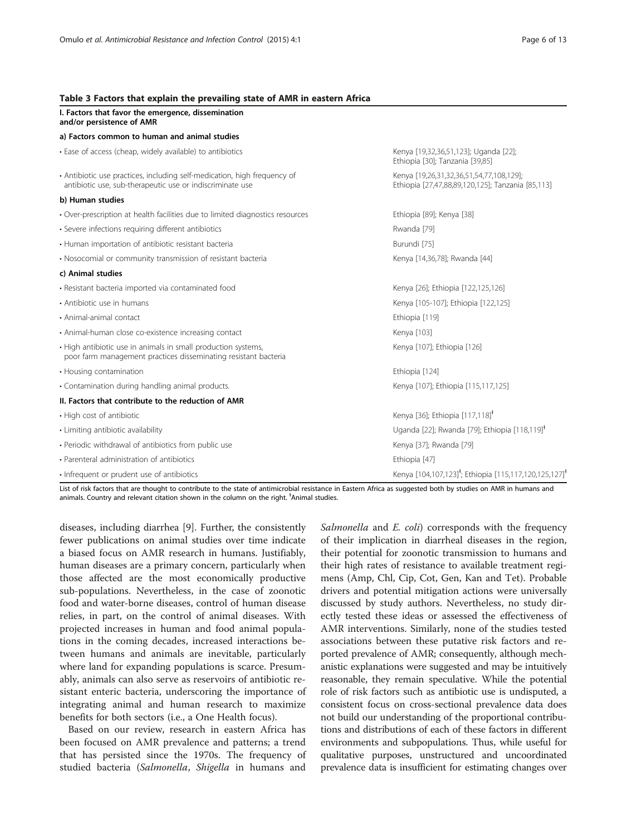#### <span id="page-5-0"></span>Table 3 Factors that explain the prevailing state of AMR in eastern Africa

| I. Factors that favor the emergence, dissemination |  |
|----------------------------------------------------|--|
| and/or persistence of AMR                          |  |

#### a) Factors common to human and animal studies

| • Ease of access (cheap, widely available) to antibiotics                                                                             | Kenya [19,32,36,51,123]; Uganda [22];<br>Ethiopia [30]; Tanzania [39,85]                      |  |  |  |  |
|---------------------------------------------------------------------------------------------------------------------------------------|-----------------------------------------------------------------------------------------------|--|--|--|--|
| • Antibiotic use practices, including self-medication, high frequency of<br>antibiotic use, sub-therapeutic use or indiscriminate use | Kenya [19,26,31,32,36,51,54,77,108,129];<br>Ethiopia [27,47,88,89,120,125]; Tanzania [85,113] |  |  |  |  |
| b) Human studies                                                                                                                      |                                                                                               |  |  |  |  |
| • Over-prescription at health facilities due to limited diagnostics resources                                                         | Ethiopia [89]; Kenya [38]                                                                     |  |  |  |  |
| • Severe infections requiring different antibiotics                                                                                   | Rwanda [79]                                                                                   |  |  |  |  |
| • Human importation of antibiotic resistant bacteria                                                                                  | Burundi [75]                                                                                  |  |  |  |  |
| • Nosocomial or community transmission of resistant bacteria                                                                          | Kenya [14,36,78]; Rwanda [44]                                                                 |  |  |  |  |
| c) Animal studies                                                                                                                     |                                                                                               |  |  |  |  |
| · Resistant bacteria imported via contaminated food                                                                                   | Kenya [26]; Ethiopia [122,125,126]                                                            |  |  |  |  |
| • Antibiotic use in humans                                                                                                            | Kenya [105-107]; Ethiopia [122,125]                                                           |  |  |  |  |
| • Animal-animal contact                                                                                                               | Ethiopia [119]                                                                                |  |  |  |  |
| • Animal-human close co-existence increasing contact                                                                                  | Kenya [103]                                                                                   |  |  |  |  |
| • High antibiotic use in animals in small production systems,<br>poor farm management practices disseminating resistant bacteria      | Kenya [107]; Ethiopia [126]                                                                   |  |  |  |  |
| • Housing contamination                                                                                                               | Ethiopia [124]                                                                                |  |  |  |  |
| • Contamination during handling animal products.                                                                                      | Kenya [107]; Ethiopia [115,117,125]                                                           |  |  |  |  |
| II. Factors that contribute to the reduction of AMR                                                                                   |                                                                                               |  |  |  |  |
| • High cost of antibiotic                                                                                                             | Kenya [36]; Ethiopia [117,118] <sup>†</sup>                                                   |  |  |  |  |
| • Limiting antibiotic availability                                                                                                    | Uganda [22]; Rwanda [79]; Ethiopia [118,119] <sup>†</sup>                                     |  |  |  |  |
| • Periodic withdrawal of antibiotics from public use                                                                                  | Kenya [37]; Rwanda [79]                                                                       |  |  |  |  |
| • Parenteral administration of antibiotics                                                                                            | Ethiopia [47]                                                                                 |  |  |  |  |
| · Infrequent or prudent use of antibiotics                                                                                            | Kenya [104,107,123] <sup>†</sup> ; Ethiopia [115,117,120,125,127]                             |  |  |  |  |
|                                                                                                                                       |                                                                                               |  |  |  |  |

List of risk factors that are thought to contribute to the state of antimicrobial resistance in Eastern Africa as suggested both by studies on AMR in humans and animals. Country and relevant citation shown in the column on the right. <sup>†</sup>Animal studies.

diseases, including diarrhea [[9\]](#page-9-0). Further, the consistently fewer publications on animal studies over time indicate a biased focus on AMR research in humans. Justifiably, human diseases are a primary concern, particularly when those affected are the most economically productive sub-populations. Nevertheless, in the case of zoonotic food and water-borne diseases, control of human disease relies, in part, on the control of animal diseases. With projected increases in human and food animal populations in the coming decades, increased interactions between humans and animals are inevitable, particularly where land for expanding populations is scarce. Presumably, animals can also serve as reservoirs of antibiotic resistant enteric bacteria, underscoring the importance of integrating animal and human research to maximize benefits for both sectors (i.e., a One Health focus).

Based on our review, research in eastern Africa has been focused on AMR prevalence and patterns; a trend that has persisted since the 1970s. The frequency of studied bacteria (Salmonella, Shigella in humans and Salmonella and E. coli) corresponds with the frequency of their implication in diarrheal diseases in the region, their potential for zoonotic transmission to humans and their high rates of resistance to available treatment regimens (Amp, Chl, Cip, Cot, Gen, Kan and Tet). Probable drivers and potential mitigation actions were universally discussed by study authors. Nevertheless, no study directly tested these ideas or assessed the effectiveness of AMR interventions. Similarly, none of the studies tested associations between these putative risk factors and reported prevalence of AMR; consequently, although mechanistic explanations were suggested and may be intuitively reasonable, they remain speculative. While the potential role of risk factors such as antibiotic use is undisputed, a consistent focus on cross-sectional prevalence data does not build our understanding of the proportional contributions and distributions of each of these factors in different environments and subpopulations. Thus, while useful for qualitative purposes, unstructured and uncoordinated prevalence data is insufficient for estimating changes over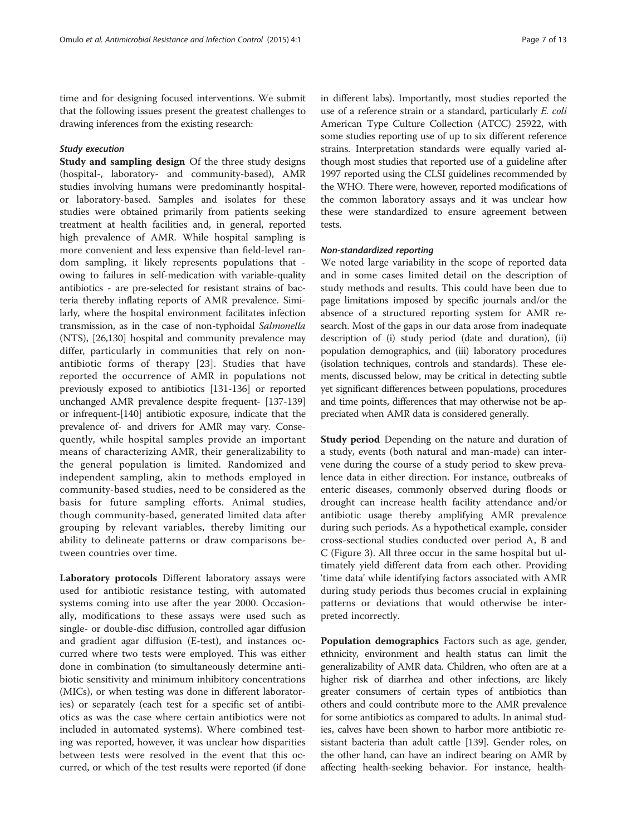time and for designing focused interventions. We submit that the following issues present the greatest challenges to drawing inferences from the existing research:

#### Study execution

Study and sampling design Of the three study designs (hospital-, laboratory- and community-based), AMR studies involving humans were predominantly hospitalor laboratory-based. Samples and isolates for these studies were obtained primarily from patients seeking treatment at health facilities and, in general, reported high prevalence of AMR. While hospital sampling is more convenient and less expensive than field-level random sampling, it likely represents populations that owing to failures in self-medication with variable-quality antibiotics - are pre-selected for resistant strains of bacteria thereby inflating reports of AMR prevalence. Similarly, where the hospital environment facilitates infection transmission, as in the case of non-typhoidal Salmonella (NTS), [[26](#page-10-0),[130](#page-12-0)] hospital and community prevalence may differ, particularly in communities that rely on nonantibiotic forms of therapy [[23\]](#page-10-0). Studies that have reported the occurrence of AMR in populations not previously exposed to antibiotics [\[131-136\]](#page-12-0) or reported unchanged AMR prevalence despite frequent- [\[137-139](#page-12-0)] or infrequent-[\[140\]](#page-12-0) antibiotic exposure, indicate that the prevalence of- and drivers for AMR may vary. Consequently, while hospital samples provide an important means of characterizing AMR, their generalizability to the general population is limited. Randomized and independent sampling, akin to methods employed in community-based studies, need to be considered as the basis for future sampling efforts. Animal studies, though community-based, generated limited data after grouping by relevant variables, thereby limiting our ability to delineate patterns or draw comparisons between countries over time.

Laboratory protocols Different laboratory assays were used for antibiotic resistance testing, with automated systems coming into use after the year 2000. Occasionally, modifications to these assays were used such as single- or double-disc diffusion, controlled agar diffusion and gradient agar diffusion (E-test), and instances occurred where two tests were employed. This was either done in combination (to simultaneously determine antibiotic sensitivity and minimum inhibitory concentrations (MICs), or when testing was done in different laboratories) or separately (each test for a specific set of antibiotics as was the case where certain antibiotics were not included in automated systems). Where combined testing was reported, however, it was unclear how disparities between tests were resolved in the event that this occurred, or which of the test results were reported (if done in different labs). Importantly, most studies reported the use of a reference strain or a standard, particularly E. coli American Type Culture Collection (ATCC) 25922, with some studies reporting use of up to six different reference strains. Interpretation standards were equally varied although most studies that reported use of a guideline after 1997 reported using the CLSI guidelines recommended by the WHO. There were, however, reported modifications of the common laboratory assays and it was unclear how these were standardized to ensure agreement between tests.

#### Non-standardized reporting

We noted large variability in the scope of reported data and in some cases limited detail on the description of study methods and results. This could have been due to page limitations imposed by specific journals and/or the absence of a structured reporting system for AMR research. Most of the gaps in our data arose from inadequate description of (i) study period (date and duration), (ii) population demographics, and (iii) laboratory procedures (isolation techniques, controls and standards). These elements, discussed below, may be critical in detecting subtle yet significant differences between populations, procedures and time points, differences that may otherwise not be appreciated when AMR data is considered generally.

Study period Depending on the nature and duration of a study, events (both natural and man-made) can intervene during the course of a study period to skew prevalence data in either direction. For instance, outbreaks of enteric diseases, commonly observed during floods or drought can increase health facility attendance and/or antibiotic usage thereby amplifying AMR prevalence during such periods. As a hypothetical example, consider cross-sectional studies conducted over period A, B and C (Figure [3](#page-7-0)). All three occur in the same hospital but ultimately yield different data from each other. Providing 'time data' while identifying factors associated with AMR during study periods thus becomes crucial in explaining patterns or deviations that would otherwise be interpreted incorrectly.

Population demographics Factors such as age, gender, ethnicity, environment and health status can limit the generalizability of AMR data. Children, who often are at a higher risk of diarrhea and other infections, are likely greater consumers of certain types of antibiotics than others and could contribute more to the AMR prevalence for some antibiotics as compared to adults. In animal studies, calves have been shown to harbor more antibiotic resistant bacteria than adult cattle [\[139](#page-12-0)]. Gender roles, on the other hand, can have an indirect bearing on AMR by affecting health-seeking behavior. For instance, health-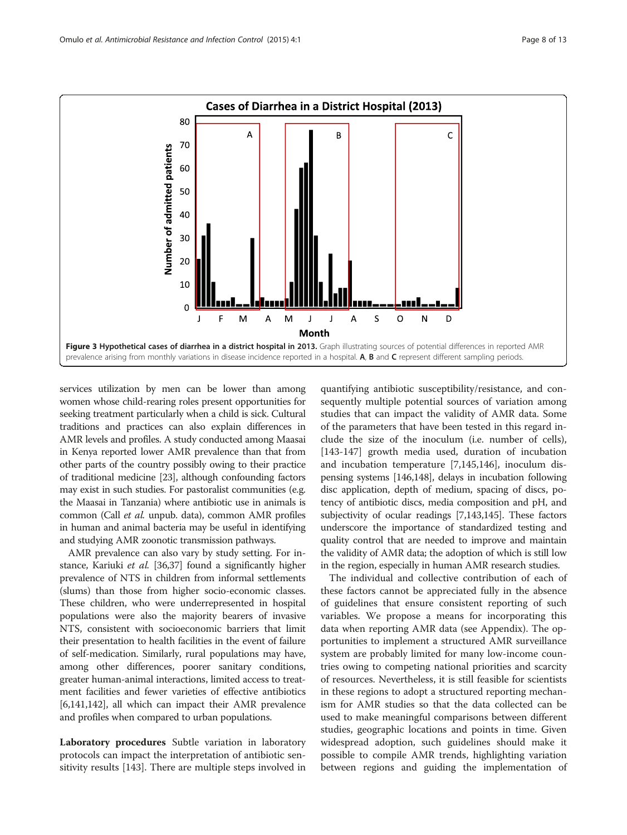<span id="page-7-0"></span>

services utilization by men can be lower than among women whose child-rearing roles present opportunities for seeking treatment particularly when a child is sick. Cultural traditions and practices can also explain differences in AMR levels and profiles. A study conducted among Maasai in Kenya reported lower AMR prevalence than that from other parts of the country possibly owing to their practice of traditional medicine [\[23\]](#page-10-0), although confounding factors may exist in such studies. For pastoralist communities (e.g. the Maasai in Tanzania) where antibiotic use in animals is common (Call et al. unpub. data), common AMR profiles in human and animal bacteria may be useful in identifying and studying AMR zoonotic transmission pathways.

AMR prevalence can also vary by study setting. For in-stance, Kariuki et al. [\[36,37](#page-10-0)] found a significantly higher prevalence of NTS in children from informal settlements (slums) than those from higher socio-economic classes. These children, who were underrepresented in hospital populations were also the majority bearers of invasive NTS, consistent with socioeconomic barriers that limit their presentation to health facilities in the event of failure of self-medication. Similarly, rural populations may have, among other differences, poorer sanitary conditions, greater human-animal interactions, limited access to treatment facilities and fewer varieties of effective antibiotics [[6,](#page-9-0)[141,142\]](#page-12-0), all which can impact their AMR prevalence and profiles when compared to urban populations.

Laboratory procedures Subtle variation in laboratory protocols can impact the interpretation of antibiotic sensitivity results [\[143](#page-12-0)]. There are multiple steps involved in

quantifying antibiotic susceptibility/resistance, and consequently multiple potential sources of variation among studies that can impact the validity of AMR data. Some of the parameters that have been tested in this regard include the size of the inoculum (i.e. number of cells), [[143-147\]](#page-12-0) growth media used, duration of incubation and incubation temperature [\[7,](#page-9-0)[145,146\]](#page-12-0), inoculum dispensing systems [[146,148\]](#page-12-0), delays in incubation following disc application, depth of medium, spacing of discs, potency of antibiotic discs, media composition and pH, and subjectivity of ocular readings [\[7](#page-9-0)[,143,145\]](#page-12-0). These factors underscore the importance of standardized testing and quality control that are needed to improve and maintain the validity of AMR data; the adoption of which is still low in the region, especially in human AMR research studies.

The individual and collective contribution of each of these factors cannot be appreciated fully in the absence of guidelines that ensure consistent reporting of such variables. We propose a means for incorporating this data when reporting AMR data (see [Appendix\)](#page-8-0). The opportunities to implement a structured AMR surveillance system are probably limited for many low-income countries owing to competing national priorities and scarcity of resources. Nevertheless, it is still feasible for scientists in these regions to adopt a structured reporting mechanism for AMR studies so that the data collected can be used to make meaningful comparisons between different studies, geographic locations and points in time. Given widespread adoption, such guidelines should make it possible to compile AMR trends, highlighting variation between regions and guiding the implementation of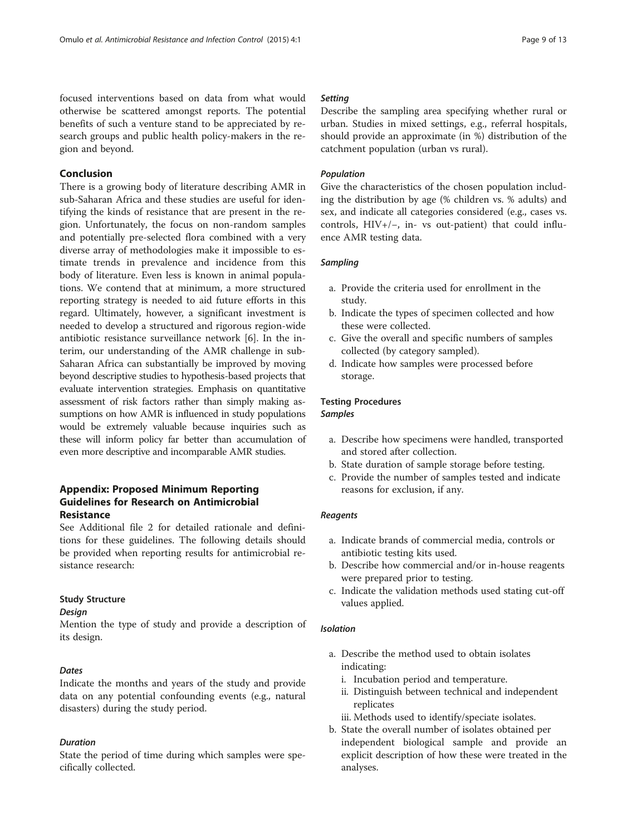<span id="page-8-0"></span>focused interventions based on data from what would otherwise be scattered amongst reports. The potential benefits of such a venture stand to be appreciated by research groups and public health policy-makers in the region and beyond.

# Conclusion

There is a growing body of literature describing AMR in sub-Saharan Africa and these studies are useful for identifying the kinds of resistance that are present in the region. Unfortunately, the focus on non-random samples and potentially pre-selected flora combined with a very diverse array of methodologies make it impossible to estimate trends in prevalence and incidence from this body of literature. Even less is known in animal populations. We contend that at minimum, a more structured reporting strategy is needed to aid future efforts in this regard. Ultimately, however, a significant investment is needed to develop a structured and rigorous region-wide antibiotic resistance surveillance network [[6](#page-9-0)]. In the interim, our understanding of the AMR challenge in sub-Saharan Africa can substantially be improved by moving beyond descriptive studies to hypothesis-based projects that evaluate intervention strategies. Emphasis on quantitative assessment of risk factors rather than simply making assumptions on how AMR is influenced in study populations would be extremely valuable because inquiries such as these will inform policy far better than accumulation of even more descriptive and incomparable AMR studies.

# Appendix: Proposed Minimum Reporting Guidelines for Research on Antimicrobial **Resistance**

See Additional file [2](#page-9-0) for detailed rationale and definitions for these guidelines. The following details should be provided when reporting results for antimicrobial resistance research:

# Study Structure

#### Design

Mention the type of study and provide a description of its design.

#### **Dates**

Indicate the months and years of the study and provide data on any potential confounding events (e.g., natural disasters) during the study period.

### Duration

State the period of time during which samples were specifically collected.

#### **Setting**

Describe the sampling area specifying whether rural or urban. Studies in mixed settings, e.g., referral hospitals, should provide an approximate (in %) distribution of the catchment population (urban vs rural).

#### Population

Give the characteristics of the chosen population including the distribution by age (% children vs. % adults) and sex, and indicate all categories considered (e.g., cases vs. controls, HIV+/−, in- vs out-patient) that could influence AMR testing data.

#### Sampling

- a. Provide the criteria used for enrollment in the study.
- b. Indicate the types of specimen collected and how these were collected.
- c. Give the overall and specific numbers of samples collected (by category sampled).
- d. Indicate how samples were processed before storage.

# Testing Procedures Samples

- a. Describe how specimens were handled, transported and stored after collection.
- b. State duration of sample storage before testing.
- c. Provide the number of samples tested and indicate reasons for exclusion, if any.

# Reagents

- a. Indicate brands of commercial media, controls or antibiotic testing kits used.
- b. Describe how commercial and/or in-house reagents were prepared prior to testing.
- c. Indicate the validation methods used stating cut-off values applied.

# Isolation

- a. Describe the method used to obtain isolates indicating:
	- i. Incubation period and temperature.
	- ii. Distinguish between technical and independent replicates
	- iii. Methods used to identify/speciate isolates.
- b. State the overall number of isolates obtained per independent biological sample and provide an explicit description of how these were treated in the analyses.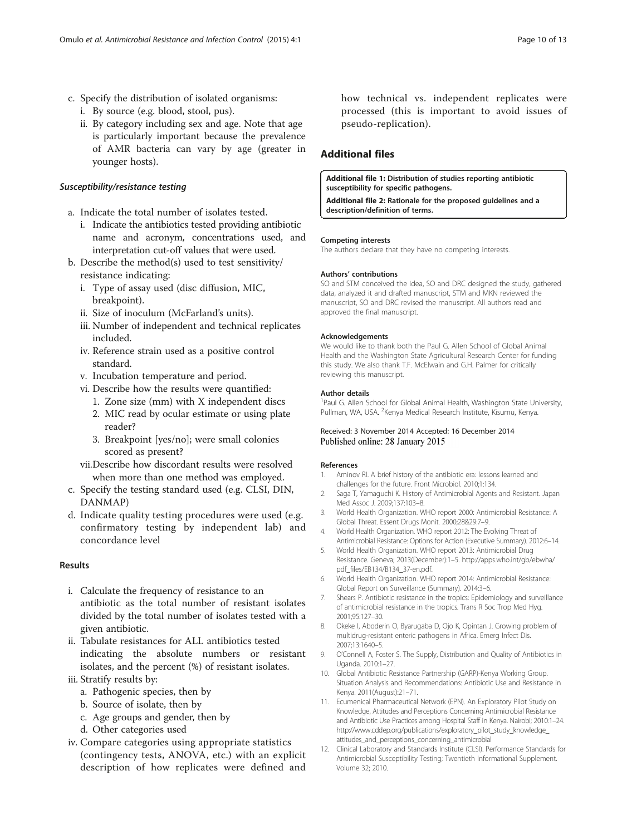- <span id="page-9-0"></span>c. Specify the distribution of isolated organisms:
	- i. By source (e.g. blood, stool, pus).
	- ii. By category including sex and age. Note that age is particularly important because the prevalence of AMR bacteria can vary by age (greater in younger hosts).

### Susceptibility/resistance testing

- a. Indicate the total number of isolates tested.
	- i. Indicate the antibiotics tested providing antibiotic name and acronym, concentrations used, and interpretation cut-off values that were used.
- b. Describe the method(s) used to test sensitivity/ resistance indicating:
	- i. Type of assay used (disc diffusion, MIC, breakpoint).
	- ii. Size of inoculum (McFarland's units).
	- iii. Number of independent and technical replicates included.
	- iv. Reference strain used as a positive control standard.
	- v. Incubation temperature and period.
	- vi. Describe how the results were quantified:
		- 1. Zone size (mm) with X independent discs
		- 2. MIC read by ocular estimate or using plate reader?
		- 3. Breakpoint [yes/no]; were small colonies scored as present?
	- vii.Describe how discordant results were resolved when more than one method was employed.
- c. Specify the testing standard used (e.g. CLSI, DIN, DANMAP)
- d. Indicate quality testing procedures were used (e.g. confirmatory testing by independent lab) and concordance level

### Results

- i. Calculate the frequency of resistance to an antibiotic as the total number of resistant isolates divided by the total number of isolates tested with a given antibiotic.
- ii. Tabulate resistances for ALL antibiotics tested indicating the absolute numbers or resistant isolates, and the percent (%) of resistant isolates. iii. Stratify results by:
	-
	- a. Pathogenic species, then by
	- b. Source of isolate, then by
	- c. Age groups and gender, then by
	- d. Other categories used
- iv. Compare categories using appropriate statistics (contingency tests, ANOVA, etc.) with an explicit description of how replicates were defined and

how technical vs. independent replicates were processed (this is important to avoid issues of pseudo-replication).

# Additional files

[Additional file 1:](http://www.aricjournal.com/content/supplementary/s13756-014-0041-4-s1.xlsx) Distribution of studies reporting antibiotic susceptibility for specific pathogens. [Additional file 2:](http://www.aricjournal.com/content/supplementary/s13756-014-0041-4-s2.docx) Rationale for the proposed guidelines and a description/definition of terms.

#### Competing interests

The authors declare that they have no competing interests.

#### Authors' contributions

SO and STM conceived the idea, SO and DRC designed the study, gathered data, analyzed it and drafted manuscript, STM and MKN reviewed the manuscript, SO and DRC revised the manuscript. All authors read and approved the final manuscript.

#### Acknowledgements

We would like to thank both the Paul G. Allen School of Global Animal Health and the Washington State Agricultural Research Center for funding this study. We also thank T.F. McElwain and G.H. Palmer for critically reviewing this manuscript.

#### Author details

<sup>1</sup>Paul G. Allen School for Global Animal Health, Washington State University, Pullman, WA, USA. <sup>2</sup>Kenya Medical Research Institute, Kisumu, Kenya.

#### Received: 3 November 2014 Accepted: 16 December 2014 Published online: 28 January 2015

#### References

- 1. Aminov RI. A brief history of the antibiotic era: lessons learned and challenges for the future. Front Microbiol. 2010;1:134.
- 2. Saga T, Yamaguchi K. History of Antimicrobial Agents and Resistant. Japan Med Assoc J. 2009;137:103–8.
- 3. World Health Organization. WHO report 2000: Antimicrobial Resistance: A Global Threat. Essent Drugs Monit. 2000;28&29:7–9.
- 4. World Health Organization. WHO report 2012: The Evolving Threat of Antimicrobial Resistance: Options for Action (Executive Summary). 2012:6–14.
- 5. World Health Organization. WHO report 2013: Antimicrobial Drug Resistance. Geneva; 2013(December):1–5. [http://apps.who.int/gb/ebwha/](http://apps.who.int/gb/ebwha/pdf_files/EB134/B134_37-en.pdf) [pdf\\_files/EB134/B134\\_37-en.pdf.](http://apps.who.int/gb/ebwha/pdf_files/EB134/B134_37-en.pdf)
- 6. World Health Organization. WHO report 2014: Antimicrobial Resistance: Global Report on Surveillance (Summary). 2014:3–6.
- 7. Shears P. Antibiotic resistance in the tropics: Epidemiology and surveillance of antimicrobial resistance in the tropics. Trans R Soc Trop Med Hyg. 2001;95:127–30.
- 8. Okeke I, Aboderin O, Byarugaba D, Ojo K, Opintan J. Growing problem of multidrug-resistant enteric pathogens in Africa. Emerg Infect Dis. 2007;13:1640–5.
- 9. O'Connell A, Foster S. The Supply, Distribution and Quality of Antibiotics in Uganda. 2010:1–27.
- 10. Global Antibiotic Resistance Partnership (GARP)-Kenya Working Group. Situation Analysis and Recommendations: Antibiotic Use and Resistance in Kenya. 2011(August):21–71.
- 11. Ecumenical Pharmaceutical Network (EPN). An Exploratory Pilot Study on Knowledge, Attitudes and Perceptions Concerning Antimicrobial Resistance and Antibiotic Use Practices among Hospital Staff in Kenya. Nairobi; 2010:1–24. [http://www.cddep.org/publications/exploratory\\_pilot\\_study\\_knowledge\\_](http://www.cddep.org/publications/exploratory_pilot_study_knowledge_attitudes_and_perceptions_concerning_antimicrobial) [attitudes\\_and\\_perceptions\\_concerning\\_antimicrobial](http://www.cddep.org/publications/exploratory_pilot_study_knowledge_attitudes_and_perceptions_concerning_antimicrobial)
- 12. Clinical Laboratory and Standards Institute (CLSI). Performance Standards for Antimicrobial Susceptibility Testing; Twentieth Informational Supplement. Volume 32; 2010.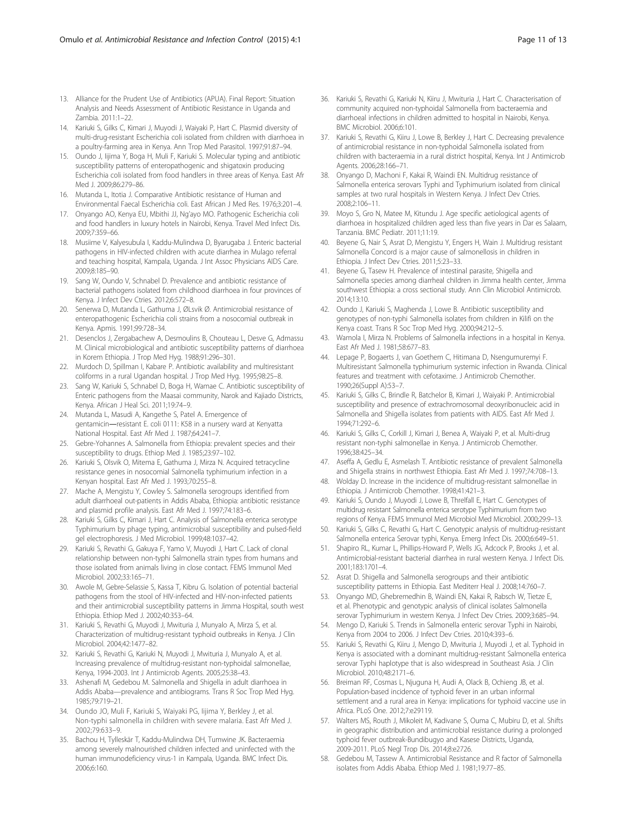- <span id="page-10-0"></span>13. Alliance for the Prudent Use of Antibiotics (APUA). Final Report: Situation Analysis and Needs Assessment of Antibiotic Resistance in Uganda and Zambia. 2011:1–22.
- 14. Kariuki S, Gilks C, Kimari J, Muyodi J, Waiyaki P, Hart C. Plasmid diversity of multi-drug-resistant Escherichia coli isolated from children with diarrhoea in a poultry-farming area in Kenya. Ann Trop Med Parasitol. 1997;91:87–94.
- 15. Oundo J, Iijima Y, Boga H, Muli F, Kariuki S. Molecular typing and antibiotic susceptibility patterns of enteropathogenic and shigatoxin producing Escherichia coli isolated from food handlers in three areas of Kenya. East Afr Med J. 2009;86:279–86.
- Mutanda L, Itotia J. Comparative Antibiotic resistance of Human and Environmental Faecal Escherichia coli. East African J Med Res. 1976;3:201–4.
- 17. Onyango AO, Kenya EU, Mbithi JJ, Ng'ayo MO. Pathogenic Escherichia coli and food handlers in luxury hotels in Nairobi, Kenya. Travel Med Infect Dis. 2009;7:359–66.
- 18. Musiime V, Kalyesubula I, Kaddu-Mulindwa D, Byarugaba J. Enteric bacterial pathogens in HIV-infected children with acute diarrhea in Mulago referral and teaching hospital, Kampala, Uganda. J Int Assoc Physicians AIDS Care. 2009;8:185–90.
- 19. Sang W, Oundo V, Schnabel D. Prevalence and antibiotic resistance of bacterial pathogens isolated from childhood diarrhoea in four provinces of Kenya. J Infect Dev Ctries. 2012;6:572–8.
- 20. Senerwa D, Mutanda L, Gathuma J, ØLsvik Ø. Antimicrobial resistance of enteropathogenic Escherichia coli strains from a nosocomial outbreak in Kenya. Apmis. 1991;99:728–34.
- 21. Desenclos J, Zergabachew A, Desmoulins B, Chouteau L, Desve G, Admassu M. Clinical microbiological and antibiotic susceptibility patterns of diarrhoea in Korem Ethiopia. J Trop Med Hyg. 1988;91:296–301.
- 22. Murdoch D, Spillman I, Kabare P. Antibiotic availability and multiresistant coliforms in a rural Ugandan hospital. J Trop Med Hyg. 1995;98:25–8.
- 23. Sang W, Kariuki S, Schnabel D, Boga H, Wamae C. Antibiotic susceptibility of Enteric pathogens from the Maasai community, Narok and Kajiado Districts, Kenya. African J Heal Sci. 2011;19:74–9.
- 24. Mutanda L, Masudi A, Kangethe S, Patel A. Emergence of gentamicin―resistant E. coli 0111: K58 in a nursery ward at Kenyatta National Hospital. East Afr Med J. 1987;64:241–7.
- 25. Gebre-Yohannes A. Salmonella from Ethiopia: prevalent species and their susceptibility to drugs. Ethiop Med J. 1985;23:97–102.
- 26. Kariuki S, Olsvik O, Mitema E, Gathuma J, Mirza N. Acquired tetracycline resistance genes in nosocomial Salmonella typhimurium infection in a Kenyan hospital. East Afr Med J. 1993;70:255–8.
- 27. Mache A, Mengistu Y, Cowley S. Salmonella serogroups identified from adult diarrhoeal out-patients in Addis Ababa, Ethiopia: antibiotic resistance and plasmid profile analysis. East Afr Med J. 1997;74:183–6.
- 28. Kariuki S, Gilks C, Kimari J, Hart C. Analysis of Salmonella enterica serotype Typhimurium by phage typing, antimicrobial susceptibility and pulsed-field gel electrophoresis. J Med Microbiol. 1999;48:1037–42.
- 29. Kariuki S, Revathi G, Gakuya F, Yamo V, Muyodi J, Hart C. Lack of clonal relationship between non-typhi Salmonella strain types from humans and those isolated from animals living in close contact. FEMS Immunol Med Microbiol. 2002;33:165–71.
- 30. Awole M, Gebre-Selassie S, Kassa T, Kibru G. Isolation of potential bacterial pathogens from the stool of HIV-infected and HIV-non-infected patients and their antimicrobial susceptibility patterns in Jimma Hospital, south west Ethiopia. Ethiop Med J. 2002;40:353–64.
- 31. Kariuki S, Revathi G, Muyodi J, Mwituria J, Munyalo A, Mirza S, et al. Characterization of multidrug-resistant typhoid outbreaks in Kenya. J Clin Microbiol. 2004;42:1477–82.
- 32. Kariuki S, Revathi G, Kariuki N, Muyodi J, Mwituria J, Munyalo A, et al. Increasing prevalence of multidrug-resistant non-typhoidal salmonellae, Kenya, 1994-2003. Int J Antimicrob Agents. 2005;25:38–43.
- 33. Ashenafi M, Gedebou M. Salmonella and Shigella in adult diarrhoea in Addis Ababa—prevalence and antibiograms. Trans R Soc Trop Med Hyg. 1985;79:719–21.
- 34. Oundo JO, Muli F, Kariuki S, Waiyaki PG, Iijima Y, Berkley J, et al. Non-typhi salmonella in children with severe malaria. East Afr Med J. 2002;79:633–9.
- 35. Bachou H, Tylleskär T, Kaddu-Mulindwa DH, Tumwine JK. Bacteraemia among severely malnourished children infected and uninfected with the human immunodeficiency virus-1 in Kampala, Uganda. BMC Infect Dis. 2006;6:160.
- 36. Kariuki S, Revathi G, Kariuki N, Kiiru J, Mwituria J, Hart C. Characterisation of community acquired non-typhoidal Salmonella from bacteraemia and diarrhoeal infections in children admitted to hospital in Nairobi, Kenya. BMC Microbiol. 2006;6:101.
- 37. Kariuki S, Revathi G, Kiiru J, Lowe B, Berkley J, Hart C. Decreasing prevalence of antimicrobial resistance in non-typhoidal Salmonella isolated from children with bacteraemia in a rural district hospital, Kenya. Int J Antimicrob Agents. 2006;28:166–71.
- 38. Onyango D, Machoni F, Kakai R, Waindi EN. Multidrug resistance of Salmonella enterica serovars Typhi and Typhimurium isolated from clinical samples at two rural hospitals in Western Kenya. J Infect Dev Ctries. 2008;2:106–11.
- 39. Moyo S, Gro N, Matee M, Kitundu J. Age specific aetiological agents of diarrhoea in hospitalized children aged less than five years in Dar es Salaam, Tanzania. BMC Pediatr. 2011;11:19.
- 40. Beyene G, Nair S, Asrat D, Mengistu Y, Engers H, Wain J. Multidrug resistant Salmonella Concord is a major cause of salmonellosis in children in Ethiopia. J Infect Dev Ctries. 2011;5:23–33.
- 41. Beyene G, Tasew H. Prevalence of intestinal parasite, Shigella and Salmonella species among diarrheal children in Jimma health center, Jimma southwest Ethiopia: a cross sectional study. Ann Clin Microbiol Antimicrob. 2014;13:10.
- 42. Oundo J, Kariuki S, Maghenda J, Lowe B. Antibiotic susceptibility and genotypes of non-typhi Salmonella isolates from children in Kilifi on the Kenya coast. Trans R Soc Trop Med Hyg. 2000;94:212–5.
- 43. Wamola I, Mirza N. Problems of Salmonella infections in a hospital in Kenya. East Afr Med J. 1981;58:677–83.
- 44. Lepage P, Bogaerts J, van Goethem C, Hitimana D, Nsengumuremyi F. Multiresistant Salmonella typhimurium systemic infection in Rwanda. Clinical features and treatment with cefotaxime. J Antimicrob Chemother. 1990;26(Suppl A):53–7.
- 45. Kariuki S, Gilks C, Brindle R, Batchelor B, Kimari J, Waiyaki P. Antimicrobial susceptibility and presence of extrachromosomal deoxyribonucleic acid in Salmonella and Shigella isolates from patients with AIDS. East Afr Med J. 1994;71:292–6.
- 46. Kariuki S, Gilks C, Corkill J, Kimari J, Benea A, Waiyaki P, et al. Multi-drug resistant non-typhi salmonellae in Kenya. J Antimicrob Chemother. 1996;38:425–34.
- 47. Aseffa A, Gedlu E, Asmelash T. Antibiotic resistance of prevalent Salmonella and Shigella strains in northwest Ethiopia. East Afr Med J. 1997;74:708–13.
- 48. Wolday D. Increase in the incidence of multidrug-resistant salmonellae in Ethiopia. J Antimicrob Chemother. 1998;41:421–3.
- 49. Kariuki S, Oundo J, Muyodi J, Lowe B, Threlfall E, Hart C. Genotypes of multidrug resistant Salmonella enterica serotype Typhimurium from two regions of Kenya. FEMS Immunol Med Microbiol Med Microbiol. 2000;29:9–13.
- 50. Kariuki S, Gilks C, Revathi G, Hart C. Genotypic analysis of multidrug-resistant Salmonella enterica Serovar typhi, Kenya. Emerg Infect Dis. 2000;6:649–51.
- 51. Shapiro RL, Kumar L, Phillips-Howard P, Wells JG, Adcock P, Brooks J, et al. Antimicrobial-resistant bacterial diarrhea in rural western Kenya. J Infect Dis. 2001;183:1701–4.
- 52. Asrat D. Shigella and Salmonella serogroups and their antibiotic susceptibility patterns in Ethiopia. East Mediterr Heal J. 2008;14:760–7.
- 53. Onyango MD, Ghebremedhin B, Waindi EN, Kakai R, Rabsch W, Tietze E, et al. Phenotypic and genotypic analysis of clinical isolates Salmonella serovar Typhimurium in western Kenya. J Infect Dev Ctries. 2009;3:685–94.
- 54. Mengo D, Kariuki S. Trends in Salmonella enteric serovar Typhi in Nairobi, Kenya from 2004 to 2006. J Infect Dev Ctries. 2010;4:393–6.
- 55. Kariuki S, Revathi G, Kiiru J, Mengo D, Mwituria J, Muyodi J, et al. Typhoid in Kenya is associated with a dominant multidrug-resistant Salmonella enterica serovar Typhi haplotype that is also widespread in Southeast Asia. J Clin Microbiol. 2010;48:2171–6.
- 56. Breiman RF, Cosmas L, Njuguna H, Audi A, Olack B, Ochieng JB, et al. Population-based incidence of typhoid fever in an urban informal settlement and a rural area in Kenya: implications for typhoid vaccine use in Africa. PLoS One. 2012;7:e29119.
- 57. Walters MS, Routh J, Mikoleit M, Kadivane S, Ouma C, Mubiru D, et al. Shifts in geographic distribution and antimicrobial resistance during a prolonged typhoid fever outbreak-Bundibugyo and Kasese Districts, Uganda, 2009-2011. PLoS Negl Trop Dis. 2014;8:e2726.
- 58. Gedebou M, Tassew A. Antimicrobial Resistance and R factor of Salmonella isolates from Addis Ababa. Ethiop Med J. 1981;19:77–85.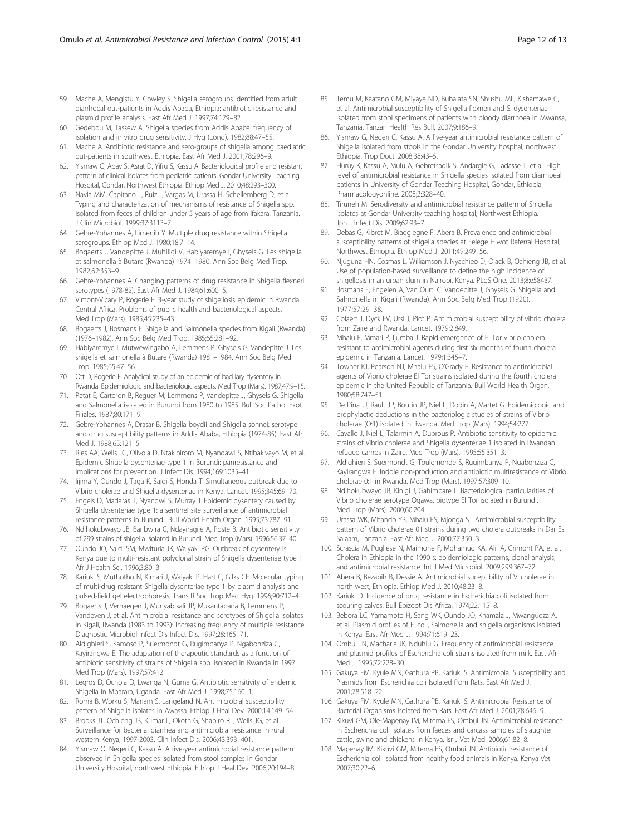- <span id="page-11-0"></span>59. Mache A, Mengistu Y, Cowley S. Shigella serogroups identified from adult diarrhoeal out-patients in Addis Ababa, Ethiopia: antibiotic resistance and plasmid profile analysis. East Afr Med J. 1997;74:179–82.
- 60. Gedebou M, Tassew A. Shigella species from Addis Ababa: frequency of isolation and in vitro drug sensitivity. J Hyg (Lond). 1982;88:47–55.
- 61. Mache A. Antibiotic resistance and sero-groups of shigella among paediatric out-patients in southwest Ethiopia. East Afr Med J. 2001;78:296–9.
- 62. Yismaw G, Abay S, Asrat D, Yifru S, Kassu A. Bacteriological profile and resistant pattern of clinical isolates from pediatric patients, Gondar University Teaching Hospital, Gondar, Northwest Ethiopia. Ethiop Med J. 2010;48:293–300.
- 63. Navia MM, Capitano L, Ruiz J, Vargas M, Urassa H, Schellemberg D, et al. Typing and characterization of mechanisms of resistance of Shigella spp. isolated from feces of children under 5 years of age from Ifakara, Tanzania. J Clin Microbiol. 1999;37:3113–7.
- 64. Gebre-Yohannes A, Limenih Y. Multiple drug resistance within Shigella serogroups. Ethiop Med J. 1980;18:7–14.
- 65. Bogaerts J, Vandepitte J, Mubiligi V, Habiyaremye I, Ghysels G. Les shigella et salmonella à Butare (Rwanda) 1974–1980. Ann Soc Belg Med Trop. 1982;62:353–9.
- 66. Gebre-Yohannes A. Changing patterns of drug resistance in Shigella flexneri serotypes (1978-82). East Afr Med J. 1984;61:600-5.
- 67. Vimont-Vicary P, Rogerie F. 3-year study of shigellosis epidemic in Rwanda, Central Africa. Problems of public health and bacteriological aspects. Med Trop (Mars). 1985;45:235–43.
- 68. Bogaerts J, Bosmans E. Shigella and Salmonella species from Kigali (Rwanda) (1976–1982). Ann Soc Belg Med Trop. 1985;65:281–92.
- 69. Habiyaremye I, Mutwewingabo A, Lemmens P, Ghysels G, Vandepitte J. Les shigella et salmonella à Butare (Rwanda) 1981–1984. Ann Soc Belg Med Trop. 1985;65:47–56.
- 70. Ott D, Rogerie F. Analytical study of an epidemic of bacillary dysentery in Rwanda. Epidemiologic and bacteriologic aspects. Med Trop (Mars). 1987;47:9–15.
- 71. Petat E, Carteron B, Reguer M, Lemmens P, Vandepitte J, Ghysels G. Shigella and Salmonella isolated in Burundi from 1980 to 1985. Bull Soc Pathol Exot Filiales. 1987;80:171–9.
- 72. Gebre-Yohannes A, Drasar B. Shigella boydii and Shigella sonnei: serotype and drug susceptibility patterns in Addis Ababa, Ethiopia (1974-85). East Afr Med J. 1988;65:121–5.
- 73. Ries AA, Wells JG, Olivola D, Ntakibiroro M, Nyandawi S, Ntibakivayo M, et al. Epidemic Shigella dysenteriae type 1 in Burundi: panresistance and implications for prevention. J Infect Dis. 1994;169:1035–41.
- 74. Iijima Y, Oundo J, Taga K, Saidi S, Honda T. Simultaneous outbreak due to Vibrio cholerae and Shigella dysenteriae in Kenya. Lancet. 1995;345:69–70.
- 75. Engels D, Madaras T, Nyandwi S, Murray J. Epidemic dysentery caused by Shigella dysenteriae type 1: a sentinel site surveillance of antimicrobial resistance patterns in Burundi. Bull World Health Organ. 1995;73:787–91.
- 76. Ndihokubwayo JB, Baribwira C, Ndayiragije A, Poste B. Antibiotic sensitivity of 299 strains of shigella isolated in Burundi. Med Trop (Mars). 1996;56:37–40.
- 77. Oundo JO, Saidi SM, Mwituria JK, Waiyaki PG. Outbreak of dysentery is Kenya due to multi-resistant polyclonal strain of Shigella dysenteriae type 1. Afr J Health Sci. 1996;3:80–3.
- 78. Kariuki S, Muthotho N, Kimari J, Waiyaki P, Hart C, Gilks CF. Molecular typing of multi-drug resistant Shigella dysenteriae type 1 by plasmid analysis and pulsed-field gel electrophoresis. Trans R Soc Trop Med Hyg. 1996;90:712–4.
- 79. Bogaerts J, Verhaegen J, Munyabikali JP, Mukantabana B, Lemmens P, Vandeven J, et al. Antimicrobial resistance and serotypes of Shigella isolates in Kigali, Rwanda (1983 to 1993): Increasing frequency of multiple resistance. Diagnostic Microbiol Infect Dis Infect Dis. 1997;28:165–71.
- 80. Aldighieri S, Kamoso P, Suermondt G, Rugimbanya P, Ngabonziza C, Kayirangwa E. The adaptation of therapeutic standards as a function of antibiotic sensitivity of strains of Shigella spp. isolated in Rwanda in 1997. Med Trop (Mars). 1997;57:412.
- 81. Legros D, Ochola D, Lwanga N, Guma G. Antibiotic sensitivity of endemic Shigella in Mbarara, Uganda. East Afr Med J. 1998;75:160–1.
- 82. Roma B, Worku S, Mariam S, Langeland N. Antimicrobial susceptibility pattern of Shigella isolates in Awassa. Ethiop J Heal Dev. 2000;14:149–54.
- 83. Brooks JT, Ochieng JB, Kumar L, Okoth G, Shapiro RL, Wells JG, et al. Surveillance for bacterial diarrhea and antimicrobial resistance in rural western Kenya, 1997-2003. Clin Infect Dis. 2006;43:393–401.
- 84. Yismaw O, Negeri C, Kassu A. A five-year antimicrobial resistance pattern observed in Shigella species isolated from stool samples in Gondar University Hospital, northwest Ethiopia. Ethiop J Heal Dev. 2006;20:194–8.
- 85. Temu M, Kaatano GM, Miyaye ND, Buhalata SN, Shushu ML, Kishamawe C, et al. Antimicrobial susceptibility of Shigella flexneri and S. dysenteriae isolated from stool specimens of patients with bloody diarrhoea in Mwansa, Tanzania. Tanzan Health Res Bull. 2007;9:186–9.
- 86. Yismaw G, Negeri C, Kassu A. A five-year antimicrobial resistance pattern of Shigella isolated from stools in the Gondar University hospital, northwest Ethiopia. Trop Doct. 2008;38:43–5.
- 87. Huruy K, Kassu A, Mulu A, Gebretsadik S, Andargie G, Tadasse T, et al. High level of antimicrobial resistance in Shigella species isolated from diarrhoeal patients in University of Gondar Teaching Hospital, Gondar, Ethiopia. Pharmacologyonline. 2008;2:328–40.
- 88. Tiruneh M. Serodiversity and antimicrobial resistance pattern of Shigella isolates at Gondar University teaching hospital, Northwest Ethiopia. Jpn J Infect Dis. 2009;62:93–7.
- Debas G, Kibret M, Biadglegne F, Abera B. Prevalence and antimicrobial susceptibility patterns of shigella species at Felege Hiwot Referral Hospital, Northwest Ethiopia. Ethiop Med J. 2011;49:249–56.
- 90. Njuguna HN, Cosmas L, Williamson J, Nyachieo D, Olack B, Ochieng JB, et al. Use of population-based surveillance to define the high incidence of shigellosis in an urban slum in Nairobi, Kenya. PLoS One. 2013;8:e58437.
- 91. Bosmans E, Engelen A, Van Ourti C, Vandepitte J, Ghysels G. Shigella and Salmonella in Kigali (Rwanda). Ann Soc Belg Med Trop (1920). 1977;57:29–38.
- 92. Colaert J, Dyck EV, Ursi J, Piot P. Antimicrobial susceptibility of vibrio cholera from Zaire and Rwanda. Lancet. 1979;2:849.
- 93. Mhalu F, Mmari P, Ijumba J. Rapid emergence of El Tor vibrio cholera resistant to antimicrobial agents during first six months of fourth cholera epidemic in Tanzania. Lancet. 1979;1:345–7.
- 94. Towner KJ, Pearson NJ, Mhalu FS, O'Grady F. Resistance to antimicrobial agents of Vibrio cholerae El Tor strains isolated during the fourth cholera epidemic in the United Republic of Tanzania. Bull World Health Organ. 1980;58:747–51.
- 95. De Pina JJ, Rault JP, Boutin JP, Niel L, Dodin A, Martet G. Epidemiologic and prophylactic deductions in the bacteriologic studies of strains of Vibrio cholerae (O:1) isolated in Rwanda. Med Trop (Mars). 1994;54:277.
- Cavallo J, Niel L, Talarmin A, Dubrous P. Antibiotic sensitivity to epidemic strains of Vibrio cholerae and Shigella dysenteriae 1 isolated in Rwandan refugee camps in Zaire. Med Trop (Mars). 1995;55:351–3.
- 97. Aldighieri S, Suermondt G, Toulemonde S, Rugimbanya P, Ngabonziza C, Kayirangwa E. Indole non-production and antibiotic multiresistance of Vibrio cholerae 0:1 in Rwanda. Med Trop (Mars). 1997;57:309–10.
- 98. Ndihokubwayo JB, Kinigi J, Gahimbare L. Bacteriological particularities of Vibrio cholerae serotype Ogawa, biotype El Tor isolated in Burundi. Med Trop (Mars). 2000;60:204.
- 99. Urassa WK, Mhando YB, Mhalu FS, Mjonga SJ. Antimicrobial susceptibility pattern of Vibrio cholerae 01 strains during two cholera outbreaks in Dar Es Salaam, Tanzania. East Afr Med J. 2000;77:350–3.
- 100. Scrascia M, Pugliese N, Maimone F, Mohamud KA, Ali IA, Grimont PA, et al. Cholera in Ethiopia in the 1990 s: epidemiologic patterns, clonal analysis, and antimicrobial resistance. Int J Med Microbiol. 2009;299:367–72.
- 101. Abera B, Bezabih B, Dessie A. Antimicrobial suceptibility of V. cholerae in north west, Ethiopia. Ethiop Med J. 2010;48:23–8.
- 102. Kariuki D. Incidence of drug resistance in Escherichia coli isolated from scouring calves. Bull Epizoot Dis Africa. 1974;22:115–8.
- 103. Bebora LC, Yamamoto H, Sang WK, Oundo JO, Khamala J, Mwangudza A, et al. Plasmid profiles of E. coli, Salmonella and shigella organisms isolated in Kenya. East Afr Med J. 1994;71:619–23.
- 104. Ombui JN, Macharia JK, Nduhiu G. Frequency of antimicrobial resistance and plasmid profiles of Escherichia coli strains isolated from milk. East Afr Med J. 1995;72:228–30.
- 105. Gakuya FM, Kyule MN, Gathura PB, Kariuki S. Antimicrobial Susceptibility and Plasmids from Escherichia coli Isolated from Rats. East Afr Med J. 2001;78:518–22.
- 106. Gakuya FM, Kyule MN, Gathura PB, Kariuki S. Antimicrobial Resistance of Bacterial Organisms Isolated from Rats. East Afr Med J. 2001;78:646–9.
- 107. Kikuvi GM, Ole-Mapenay IM, Mitema ES, Ombui JN. Antimicrobial resistance in Escherichia coli isolates from faeces and carcass samples of slaughter cattle, swine and chickens in Kenya. Isr J Vet Med. 2006;61:82–8.
- 108. Mapenay IM, Kikuvi GM, Mitema ES, Ombui JN. Antibiotic resistance of Escherichia coli isolated from healthy food animals in Kenya. Kenya Vet. 2007;30:22–6.